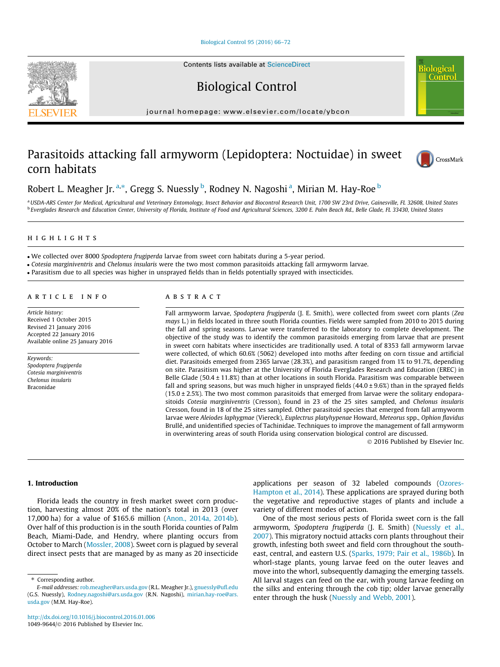# [Biological Control 95 \(2016\) 66–72](http://dx.doi.org/10.1016/j.biocontrol.2016.01.006)

Biological Control

journal homepage: [www.elsevier.com/locate/ybcon](http://www.elsevier.com/locate/ybcon)

# Parasitoids attacking fall armyworm (Lepidoptera: Noctuidae) in sweet corn habitats



**Contro** 

# Robert L. Meagher Jr. <sup>a,</sup>\*, Gregg S. Nuessly <sup>b</sup>, Rodney N. Nagoshi <sup>a</sup>, Mirian M. Hay-Roe <sup>b</sup>

a USDA-ARS Center for Medical, Agricultural and Veterinary Entomology, Insect Behavior and Biocontrol Research Unit, 1700 SW 23rd Drive, Gainesville, FL 32608, United States <sup>b</sup> Everglades Research and Education Center, University of Florida, Institute of Food and Agricultural Sciences, 3200 E. Palm Beach Rd., Belle Glade, FL 33430, United States

# highlights and the second second second second second second second second second second second second second

We collected over 8000 Spodoptera frugiperda larvae from sweet corn habitats during a 5-year period.

Cotesia marginiventris and Chelonus insularis were the two most common parasitoids attacking fall armyworm larvae.

Parasitism due to all species was higher in unsprayed fields than in fields potentially sprayed with insecticides.

Article history: Received 1 October 2015 Revised 21 January 2016 Accepted 22 January 2016 Available online 25 January 2016

Keywords: Spodoptera frugiperda Cotesia marginiventris Chelonus insularis Braconidae

#### **ABSTRACT**

Fall armyworm larvae, Spodoptera frugiperda (J. E. Smith), were collected from sweet corn plants (Zea mays L.) in fields located in three south Florida counties. Fields were sampled from 2010 to 2015 during the fall and spring seasons. Larvae were transferred to the laboratory to complete development. The objective of the study was to identify the common parasitoids emerging from larvae that are present in sweet corn habitats where insecticides are traditionally used. A total of 8353 fall armyworm larvae were collected, of which 60.6% (5062) developed into moths after feeding on corn tissue and artificial diet. Parasitoids emerged from 2365 larvae (28.3%), and parasitism ranged from 1% to 91.7%, depending on site. Parasitism was higher at the University of Florida Everglades Research and Education (EREC) in Belle Glade (50.4  $\pm$  11.8%) than at other locations in south Florida. Parasitism was comparable between fall and spring seasons, but was much higher in unsprayed fields  $(44.0 \pm 9.6%)$  than in the sprayed fields  $(15.0 \pm 2.5%)$ . The two most common parasitoids that emerged from larvae were the solitary endoparasitoids Cotesia marginiventris (Cresson), found in 23 of the 25 sites sampled, and Chelonus insularis Cresson, found in 18 of the 25 sites sampled. Other parasitoid species that emerged from fall armyworm larvae were Aleiodes laphygmae (Viereck), Euplectrus platyhypenae Howard, Meteorus spp., Ophion flavidus Brullé, and unidentified species of Tachinidae. Techniques to improve the management of fall armyworm in overwintering areas of south Florida using conservation biological control are discussed.

2016 Published by Elsevier Inc.

# 1. Introduction

Florida leads the country in fresh market sweet corn production, harvesting almost 20% of the nation's total in 2013 (over 17,000 ha) for a value of \$165.6 million [\(Anon., 2014a, 2014b\)](#page-5-0). Over half of this production is in the south Florida counties of Palm Beach, Miami-Dade, and Hendry, where planting occurs from October to March [\(Mossler, 2008](#page-6-0)). Sweet corn is plagued by several direct insect pests that are managed by as many as 20 insecticide

⇑ Corresponding author.

applications per season of 32 labeled compounds ([Ozores-](#page-6-0)[Hampton et al., 2014](#page-6-0)). These applications are sprayed during both the vegetative and reproductive stages of plants and include a variety of different modes of action.

One of the most serious pests of Florida sweet corn is the fall armyworm, Spodoptera frugiperda (J. E. Smith) ([Nuessly et al.,](#page-6-0) [2007\)](#page-6-0). This migratory noctuid attacks corn plants throughout their growth, infesting both sweet and field corn throughout the south-east, central, and eastern U.S. [\(Sparks, 1979; Pair et al., 1986b\)](#page-6-0). In whorl-stage plants, young larvae feed on the outer leaves and move into the whorl, subsequently damaging the emerging tassels. All larval stages can feed on the ear, with young larvae feeding on the silks and entering through the cob tip; older larvae generally enter through the husk ([Nuessly and Webb, 2001](#page-6-0)).



E-mail addresses: [rob.meagher@ars.usda.gov](mailto:rob.meagher@ars.usda.gov) (R.L. Meagher Jr.), [gnuessly@ufl.edu](mailto:gnuessly@ufl.edu) (G.S. Nuessly), [Rodney.nagoshi@ars.usda.gov](mailto:Rodney.nagoshi@ars.usda.gov) (R.N. Nagoshi), [mirian.hay-roe@ars.](mailto:mirian.hay-roe@ars.usda.gov) [usda.gov](mailto:mirian.hay-roe@ars.usda.gov) (M.M. Hay-Roe).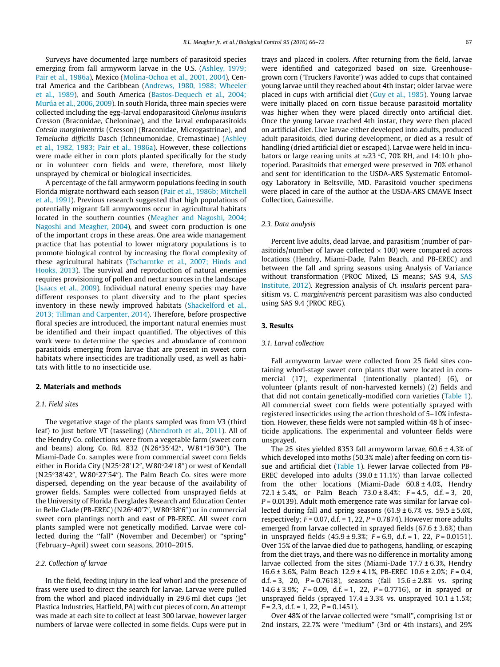Surveys have documented large numbers of parasitoid species emerging from fall armyworm larvae in the U.S. ([Ashley, 1979;](#page-5-0) [Pair et al., 1986a](#page-5-0)), Mexico [\(Molina-Ochoa et al., 2001, 2004\)](#page-6-0), Central America and the Caribbean ([Andrews, 1980, 1988; Wheeler](#page-5-0) [et al., 1989](#page-5-0)), and South America [\(Bastos-Dequech et al., 2004;](#page-5-0) [Murúa et al., 2006, 2009](#page-5-0)). In south Florida, three main species were collected including the egg-larval endoparasitoid Chelonus insularis Cresson (Braconidae, Cheloninae), and the larval endoparasitoids Cotesia marginiventris (Cresson) (Braconidae, Microgastrinae), and Temelucha difficilis Dasch (Ichneumonidae, Cremastinae) [\(Ashley](#page-5-0) [et al., 1982, 1983; Pair et al., 1986a](#page-5-0)). However, these collections were made either in corn plots planted specifically for the study or in volunteer corn fields and were, therefore, most likely unsprayed by chemical or biological insecticides.

A percentage of the fall armyworm populations feeding in south Florida migrate northward each season ([Pair et al., 1986b; Mitchell](#page-6-0) [et al., 1991\)](#page-6-0). Previous research suggested that high populations of potentially migrant fall armyworms occur in agricultural habitats located in the southern counties ([Meagher and Nagoshi, 2004;](#page-6-0) [Nagoshi and Meagher, 2004\)](#page-6-0), and sweet corn production is one of the important crops in these areas. One area wide management practice that has potential to lower migratory populations is to promote biological control by increasing the floral complexity of these agricultural habitats ([Tscharntke et al., 2007; Hinds and](#page-6-0) [Hooks, 2013](#page-6-0)). The survival and reproduction of natural enemies requires provisioning of pollen and nectar sources in the landscape ([Isaacs et al., 2009](#page-5-0)). Individual natural enemy species may have different responses to plant diversity and to the plant species inventory in these newly improved habitats ([Shackelford et al.,](#page-6-0) [2013; Tillman and Carpenter, 2014](#page-6-0)). Therefore, before prospective floral species are introduced, the important natural enemies must be identified and their impact quantified. The objectives of this work were to determine the species and abundance of common parasitoids emerging from larvae that are present in sweet corn habitats where insecticides are traditionally used, as well as habitats with little to no insecticide use.

# 2. Materials and methods

# 2.1. Field sites

The vegetative stage of the plants sampled was from V3 (third leaf) to just before VT (tasseling) [\(Abendroth et al., 2011](#page-5-0)). All of the Hendry Co. collections were from a vegetable farm (sweet corn and beans) along Co. Rd. 832 (N26°35'42", W81°16'30"). The Miami-Dade Co. samples were from commercial sweet corn fields either in Florida City (N25°28′12″, W80°24′18″) or west of Kendall (N25°38'42″, W80°27'54″). The Palm Beach Co. sites were more dispersed, depending on the year because of the availability of grower fields. Samples were collected from unsprayed fields at the University of Florida Everglades Research and Education Center in Belle Glade (PB-EREC) (N26°40′7″, W80°38′6″) or in commercial sweet corn plantings north and east of PB-EREC. All sweet corn plants sampled were not genetically modified. Larvae were collected during the "fall" (November and December) or "spring" (February–April) sweet corn seasons, 2010–2015.

### 2.2. Collection of larvae

In the field, feeding injury in the leaf whorl and the presence of frass were used to direct the search for larvae. Larvae were pulled from the whorl and placed individually in 29.6 ml diet cups (Jet Plastica Industries, Hatfield, PA) with cut pieces of corn. An attempt was made at each site to collect at least 300 larvae, however larger numbers of larvae were collected in some fields. Cups were put in trays and placed in coolers. After returning from the field, larvae were identified and categorized based on size. Greenhousegrown corn ('Truckers Favorite') was added to cups that contained young larvae until they reached about 4th instar; older larvae were placed in cups with artificial diet [\(Guy et al., 1985](#page-5-0)). Young larvae were initially placed on corn tissue because parasitoid mortality was higher when they were placed directly onto artificial diet. Once the young larvae reached 4th instar, they were then placed on artificial diet. Live larvae either developed into adults, produced adult parasitoids, died during development, or died as a result of handling (dried artificial diet or escaped). Larvae were held in incubators or large rearing units at  $\approx$  23 °C, 70% RH, and 14:10 h photoperiod. Parasitoids that emerged were preserved in 70% ethanol and sent for identification to the USDA-ARS Systematic Entomology Laboratory in Beltsville, MD. Parasitoid voucher specimens were placed in care of the author at the USDA-ARS CMAVE Insect Collection, Gainesville.

#### 2.3. Data analysis

Percent live adults, dead larvae, and parasitism (number of parasitoids/number of larvae collected  $\times$  100) were compared across locations (Hendry, Miami-Dade, Palm Beach, and PB-EREC) and between the fall and spring seasons using Analysis of Variance without transformation (PROC Mixed, LS means; SAS 9.4, [SAS](#page-6-0) [Institute, 2012](#page-6-0)). Regression analysis of Ch. insularis percent parasitism vs. C. marginiventris percent parasitism was also conducted using SAS 9.4 (PROC REG).

# 3. Results

#### 3.1. Larval collection

Fall armyworm larvae were collected from 25 field sites containing whorl-stage sweet corn plants that were located in commercial (17), experimental (intentionally planted) (6), or volunteer (plants result of non-harvested kernels) (2) fields and that did not contain genetically-modified corn varieties ([Table 1\)](#page-2-0). All commercial sweet corn fields were potentially sprayed with registered insecticides using the action threshold of 5–10% infestation. However, these fields were not sampled within 48 h of insecticide applications. The experimental and volunteer fields were unsprayed.

The 25 sites yielded 8353 fall armyworm larvae,  $60.6 \pm 4.3\%$  of which developed into moths (50.3% male) after feeding on corn tissue and artificial diet [\(Table 1\)](#page-2-0). Fewer larvae collected from PB-EREC developed into adults  $(39.0 \pm 11.1\%)$  than larvae collected from the other locations (Miami-Dade  $60.8 \pm 4.0$ %, Hendry 72.1  $\pm$  5.4%, or Palm Beach 73.0  $\pm$  8.4%; F = 4.5, d.f. = 3, 20,  $P = 0.0139$ ). Adult moth emergence rate was similar for larvae collected during fall and spring seasons  $(61.9 \pm 6.7\%)$  vs. 59.5  $\pm$  5.6%, respectively;  $F = 0.07$ , d.f. = 1, 22,  $P = 0.7874$ ). However more adults emerged from larvae collected in sprayed fields  $(67.6 \pm 3.6%)$  than in unsprayed fields  $(45.9 \pm 9.3\%)$ ;  $F = 6.9$ , d.f. = 1, 22,  $P = 0.0151$ ). Over 15% of the larvae died due to pathogens, handling, or escaping from the diet trays, and there was no difference in mortality among larvae collected from the sites (Miami-Dade 17.7 ± 6.3%, Hendry 16.6 ± 3.6%, Palm Beach  $12.9 \pm 4.1$ %, PB-EREC  $10.6 \pm 2.0$ %; F = 0.4, d.f. = 3, 20,  $P = 0.7618$ ), seasons (fall  $15.6 \pm 2.8\%$  vs. spring 14.6  $\pm$  3.9%; F = 0.09, d.f. = 1, 22, P = 0.7716), or in sprayed or unsprayed fields (sprayed 17.4 ± 3.3% vs. unsprayed 10.1 ± 1.5%;  $F = 2.3$ , d.f. = 1, 22,  $P = 0.1451$ ).

Over 48% of the larvae collected were ''small", comprising 1st or 2nd instars, 22.7% were ''medium" (3rd or 4th instars), and 29%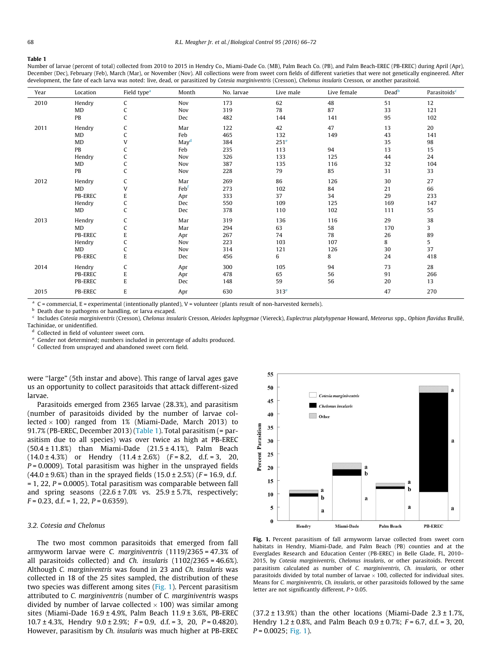#### <span id="page-2-0"></span>Table 1

Number of larvae (percent of total) collected from 2010 to 2015 in Hendry Co., Miami-Dade Co. (MB), Palm Beach Co. (PB), and Palm Beach-EREC (PB-EREC) during April (Apr), December (Dec), February (Feb), March (Mar), or November (Nov). All collections were from sweet corn fields of different varieties that were not genetically engineered. After development, the fate of each larva was noted: live, dead, or parasitized by Cotesia marginiventris (Cresson), Chelonus insularis Cresson, or another parasitoid.

| Year | Location       | Field type <sup>a</sup> | Month            | No. larvae | Live male        | Live female | Dead <sup>b</sup> | Parasitoids <sup>c</sup> |
|------|----------------|-------------------------|------------------|------------|------------------|-------------|-------------------|--------------------------|
| 2010 | Hendry         | C                       | Nov              | 173        | 62               | 48          | 51                | 12                       |
|      | MD             | C                       | Nov              | 319        | 78               | 87          | 33                | 121                      |
|      | PB             | C                       | Dec              | 482        | 144              | 141         | 95                | 102                      |
| 2011 | Hendry         | C                       | Mar              | 122        | 42               | 47          | 13                | 20                       |
|      | MD             | C                       | Feb              | 465        | 132              | 149         | 43                | 141                      |
|      | MD             | V                       | May <sup>d</sup> | 384        | 251 <sup>e</sup> |             | 35                | 98                       |
|      | PB             | $\mathsf{C}$            | Feb              | 235        | 113              | 94          | 13                | 15                       |
|      | Hendry         | C                       | Nov              | 326        | 133              | 125         | 44                | 24                       |
|      | MD             | C                       | Nov              | 387        | 135              | 116         | 32                | 104                      |
|      | PB             | C                       | Nov              | 228        | 79               | 85          | 31                | 33                       |
| 2012 | Hendry         | C                       | Mar              | 269        | 86               | 126         | 30                | 27                       |
|      | MD             | V                       | Febf             | 273        | 102              | 84          | 21                | 66                       |
|      | PB-EREC        | ${\sf E}$               | Apr              | 333        | 37               | 34          | 29                | 233                      |
|      | Hendry         | C                       | Dec              | 550        | 109              | 125         | 169               | 147                      |
|      | MD             | C                       | Dec              | 378        | 110              | 102         | 111               | 55                       |
| 2013 | Hendry         | C                       | Mar              | 319        | 136              | 116         | 29                | 38                       |
|      | MD             | C                       | Mar              | 294        | 63               | 58          | 170               | 3                        |
|      | PB-EREC        | E                       | Apr              | 267        | 74               | 78          | 26                | 89                       |
|      | Hendry         | $\mathsf{C}$            | Nov              | 223        | 103              | 107         | 8                 | 5                        |
|      | MD             | $\mathsf C$             | Nov              | 314        | 121              | 126         | 30                | 37                       |
|      | PB-EREC        | ${\sf E}$               | Dec              | 456        | 6                | 8           | 24                | 418                      |
| 2014 | Hendry         | $\mathsf{C}$            | Apr              | 300        | 105              | 94          | 73                | 28                       |
|      | <b>PB-EREC</b> | E                       | Apr              | 478        | 65               | 56          | 91                | 266                      |
|      | PB-EREC        | ${\sf E}$               | Dec              | 148        | 59               | 56          | 20                | 13                       |
| 2015 | PB-EREC        | ${\sf E}$               | Apr              | 630        | 313 <sup>e</sup> |             | 47                | 270                      |

 $a$  C = commercial, E = experimental (intentionally planted), V = volunteer (plants result of non-harvested kernels).

**b** Death due to pathogens or handling, or larva escaped.

<sup>c</sup> Includes Cotesia marginiventris (Cresson), Chelonus insularis Cresson, Aleiodes laphygmae (Viereck), Euplectrus platyhypenae Howard, Meteorus spp., Ophion flavidus Brullé, Tachinidae, or unidentified.

Collected in field of volunteer sweet corn.

Gender not determined; numbers included in percentage of adults produced.

<sup>f</sup> Collected from unsprayed and abandoned sweet corn field.

were "large" (5th instar and above). This range of larval ages gave us an opportunity to collect parasitoids that attack different-sized larvae.

Parasitoids emerged from 2365 larvae (28.3%), and parasitism (number of parasitoids divided by the number of larvae collected  $\times$  100) ranged from 1% (Miami-Dade, March 2013) to 91.7% (PB-EREC, December 2013) (Table 1). Total parasitism (= parasitism due to all species) was over twice as high at PB-EREC (50.4 ± 11.8%) than Miami-Dade (21.5 ± 4.1%), Palm Beach  $(14.0 \pm 4.3\%)$  or Hendry  $(11.4 \pm 2.6\%)$   $(F = 8.2, d.f. = 3, 20,$  $P = 0.0009$ ). Total parasitism was higher in the unsprayed fields  $(44.0 \pm 9.6%)$  than in the sprayed fields  $(15.0 \pm 2.5%)$  (F = 16.9, d.f.  $= 1, 22, P = 0.0005$ ). Total parasitism was comparable between fall and spring seasons  $(22.6 \pm 7.0\% \text{ vs. } 25.9 \pm 5.7\% \text{ respectively})$ ;  $F = 0.23$ , d.f. = 1, 22,  $P = 0.6359$ ).

# 3.2. Cotesia and Chelonus

The two most common parasitoids that emerged from fall armyworm larvae were C. marginiventris (1119/2365 = 47.3% of all parasitoids collected) and Ch. insularis (1102/2365 = 46.6%). Although C. marginiventris was found in 23 and Ch. insularis was collected in 18 of the 25 sites sampled, the distribution of these two species was different among sites (Fig. 1). Percent parasitism attributed to C. marginiventris (number of C. marginiventris wasps divided by number of larvae collected  $\times$  100) was similar among sites (Miami-Dade  $16.9 \pm 4.9$ %, Palm Beach  $11.9 \pm 3.6$ %, PB-EREC 10.7 ± 4.3%, Hendry  $9.0 \pm 2.9$ %;  $F = 0.9$ , d.f. = 3, 20,  $P = 0.4820$ ). However, parasitism by Ch. insularis was much higher at PB-EREC



Fig. 1. Percent parasitism of fall armyworm larvae collected from sweet corn habitats in Hendry, Miami-Dade, and Palm Beach (PB) counties and at the Everglades Research and Education Center (PB-EREC) in Belle Glade, FL, 2010– 2015, by Cotesia marginiventris, Chelonus insularis, or other parasitoids. Percent parasitism calculated as number of C. marginiventris, Ch. insularis, or other parasitoids divided by total number of larvae  $\times$  100, collected for individual sites. Means for C. marginiventris, Ch. insularis, or other parasitoids followed by the same letter are not significantly different,  $P > 0.05$ .

 $(37.2 \pm 13.9%)$  than the other locations (Miami-Dade  $2.3 \pm 1.7%$ , Hendry  $1.2 \pm 0.8$ %, and Palm Beach  $0.9 \pm 0.7$ %;  $F = 6.7$ , d.f. = 3, 20,  $P = 0.0025$ ; Fig. 1).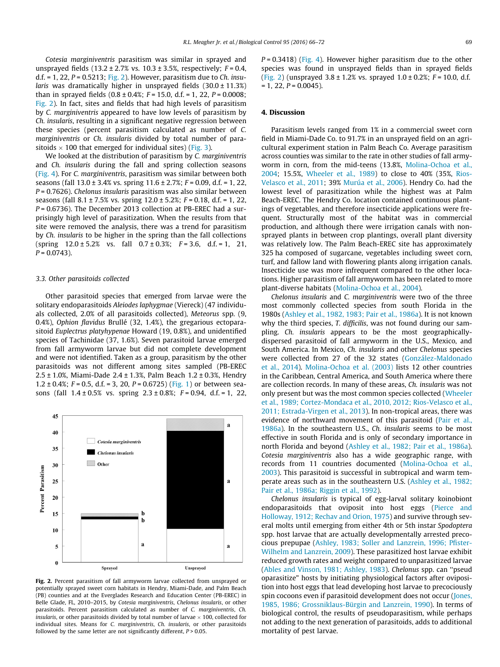Cotesia marginiventris parasitism was similar in sprayed and unsprayed fields  $(13.2 \pm 2.7\%)$  vs.  $10.3 \pm 3.5\%$ , respectively:  $F = 0.4$ . d.f.  $= 1$ , 22,  $P = 0.5213$ ; Fig. 2). However, parasitism due to *Ch. insu*laris was dramatically higher in unsprayed fields  $(30.0 \pm 11.3\%)$ than in sprayed fields  $(0.8 \pm 0.4\%; F = 15.0, d.f. = 1, 22, P = 0.0008;$ Fig. 2). In fact, sites and fields that had high levels of parasitism by C. marginiventris appeared to have low levels of parasitism by Ch. insularis, resulting in a significant negative regression between these species (percent parasitism calculated as number of C. marginiventris or Ch. insularis divided by total number of parasitoids  $\times$  100 that emerged for individual sites) ([Fig. 3](#page-4-0)).

We looked at the distribution of parasitism by C. marginiventris and Ch. insularis during the fall and spring collection seasons ([Fig. 4\)](#page-4-0). For C. marginiventris, parasitism was similar between both seasons (fall  $13.0 \pm 3.4\%$  vs. spring  $11.6 \pm 2.7\%$ ;  $F = 0.09$ , d.f. = 1, 22,  $P = 0.7626$ ). Chelonus insularis parasitism was also similar between seasons (fall  $8.1 \pm 7.5\%$  vs. spring  $12.0 \pm 5.2\%$ ;  $F = 0.18$ , d.f. = 1, 22,  $P = 0.6736$ ). The December 2013 collection at PB-EREC had a surprisingly high level of parasitization. When the results from that site were removed the analysis, there was a trend for parasitism by Ch. insularis to be higher in the spring than the fall collections (spring  $12.0 \pm 5.2$ % vs. fall  $0.7 \pm 0.3$ %;  $F = 3.6$ , d.f. = 1, 21,  $P = 0.0743$ ).

### 3.3. Other parasitoids collected

Other parasitoid species that emerged from larvae were the solitary endoparasitoids Aleiodes laphygmae (Viereck) (47 individuals collected, 2.0% of all parasitoids collected), Meteorus spp. (9, 0.4%), Ophion flavidus Brullé (32, 1.4%), the gregarious ectoparasitoid Euplectrus platyhypenae Howard (19, 0.8%), and unidentified species of Tachinidae (37, 1.6%). Seven parasitoid larvae emerged from fall armyworm larvae but did not complete development and were not identified. Taken as a group, parasitism by the other parasitoids was not different among sites sampled (PB-EREC 2.5 ± 1.0%, Miami-Dade 2.4 ± 1.3%, Palm Beach 1.2 ± 0.3%, Hendry 1.2  $\pm$  0.4%; F = 0.5, d.f. = 3, 20, P = 0.6725) [\(Fig. 1\)](#page-2-0) or between seasons (fall  $1.4 \pm 0.5$ % vs. spring  $2.3 \pm 0.8$ %;  $F = 0.94$ , d.f. = 1, 22,



Fig. 2. Percent parasitism of fall armyworm larvae collected from unsprayed or potentially sprayed sweet corn habitats in Hendry, Miami-Dade, and Palm Beach (PB) counties and at the Everglades Research and Education Center (PB-EREC) in Belle Glade, FL, 2010–2015, by Cotesia marginiventris, Chelonus insularis, or other parasitoids. Percent parasitism calculated as number of C. marginiventris, Ch. insularis, or other parasitoids divided by total number of larvae  $\times$  100, collected for individual sites. Means for C. marginiventris, Ch. insularis, or other parasitoids followed by the same letter are not significantly different,  $P > 0.05$ .

 $P = 0.3418$ ) ([Fig. 4\)](#page-4-0). However higher parasitism due to the other species was found in unsprayed fields than in sprayed fields (Fig. 2) (unsprayed  $3.8 \pm 1.2$ % vs. sprayed  $1.0 \pm 0.2$ %;  $F = 10.0$ , d.f.  $= 1, 22, P = 0.0045$ ).

# 4. Discussion

Parasitism levels ranged from 1% in a commercial sweet corn field in Miami-Dade Co. to 91.7% in an unsprayed field on an agricultural experiment station in Palm Beach Co. Average parasitism across counties was similar to the rate in other studies of fall armyworm in corn, from the mid-teens (13.8%, [Molina-Ochoa et al.,](#page-6-0) [2004](#page-6-0); 15.5%, [Wheeler et al., 1989\)](#page-6-0) to close to 40% (35%, [Rios-](#page-6-0)[Velasco et al., 2011;](#page-6-0) 39% [Murúa et al., 2006](#page-6-0)). Hendry Co. had the lowest level of parasitization while the highest was at Palm Beach-EREC. The Hendry Co. location contained continuous plantings of vegetables, and therefore insecticide applications were frequent. Structurally most of the habitat was in commercial production, and although there were irrigation canals with nonsprayed plants in between crop plantings, overall plant diversity was relatively low. The Palm Beach-EREC site has approximately 325 ha composed of sugarcane, vegetables including sweet corn, turf, and fallow land with flowering plants along irrigation canals. Insecticide use was more infrequent compared to the other locations. Higher parasitism of fall armyworm has been related to more plant-diverse habitats [\(Molina-Ochoa et al., 2004](#page-6-0)).

Chelonus insularis and C. marginiventris were two of the three most commonly collected species from south Florida in the 1980s [\(Ashley et al., 1982, 1983; Pair et al., 1986a\)](#page-5-0). It is not known why the third species, T. difficilis, was not found during our sampling. Ch. insularis appears to be the most geographicallydispersed parasitoid of fall armyworm in the U.S., Mexico, and South America. In Mexico, Ch. insularis and other Chelonus species were collected from 27 of the 32 states [\(González-Maldonado](#page-5-0) [et al., 2014](#page-5-0)). [Molina-Ochoa et al. \(2003\)](#page-6-0) lists 12 other countries in the Caribbean, Central America, and South America where there are collection records. In many of these areas, Ch. insularis was not only present but was the most common species collected ([Wheeler](#page-6-0) [et al., 1989; Cortez-Mondaca et al., 2010, 2012; Rios-Velasco et al.,](#page-6-0) [2011; Estrada-Virgen et al., 2013\)](#page-6-0). In non-tropical areas, there was evidence of northward movement of this parasitoid [\(Pair et al.,](#page-6-0) [1986a\)](#page-6-0). In the southeastern U.S., Ch. insularis seems to be most effective in south Florida and is only of secondary importance in north Florida and beyond ([Ashley et al., 1982; Pair et al., 1986a\)](#page-5-0). Cotesia marginiventris also has a wide geographic range, with records from 11 countries documented [\(Molina-Ochoa et al.,](#page-6-0) [2003](#page-6-0)). This parasitoid is successful in subtropical and warm temperate areas such as in the southeastern U.S. [\(Ashley et al., 1982;](#page-5-0) [Pair et al., 1986a; Riggin et al., 1992](#page-5-0)).

Chelonus insularis is typical of egg-larval solitary koinobiont endoparasitoids that oviposit into host eggs [\(Pierce and](#page-6-0) [Holloway, 1912; Rechav and Orion, 1975](#page-6-0)) and survive through several molts until emerging from either 4th or 5th instar Spodoptera spp. host larvae that are actually developmentally arrested precocious prepupae ([Ashley, 1983; Soller and Lanzrein, 1996; Pfister-](#page-5-0)[Wilhelm and Lanzrein, 2009\)](#page-5-0). These parasitized host larvae exhibit reduced growth rates and weight compared to unparasitized larvae ([Ables and Vinson, 1981; Ashley, 1983](#page-5-0)). Chelonus spp. can ''pseud oparasitize" hosts by initiating physiological factors after oviposition into host eggs that lead developing host larvae to precociously spin cocoons even if parasitoid development does not occur ([Jones,](#page-5-0) [1985, 1986; Grossniklaus-Bürgin and Lanzrein, 1990](#page-5-0)). In terms of biological control, the results of pseudoparasitism, while perhaps not adding to the next generation of parasitoids, adds to additional mortality of pest larvae.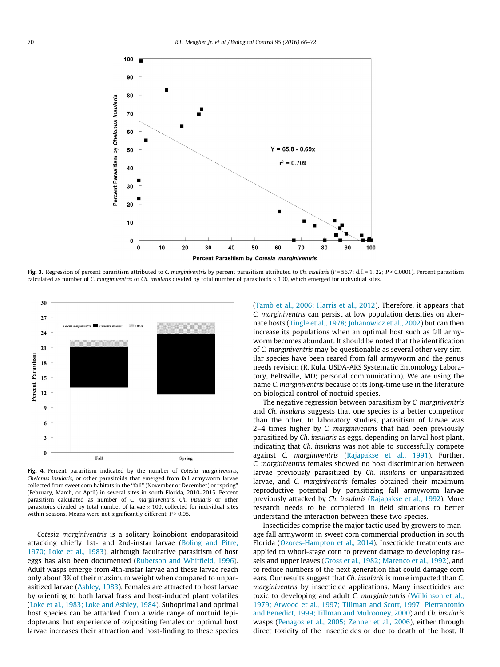<span id="page-4-0"></span>

Fig. 3. Regression of percent parasitism attributed to C. marginiventris by percent parasitism attributed to Ch. insularis (F = 56.7; d.f. = 1, 22; P < 0.0001). Percent parasitism calculated as number of C. marginiventris or Ch. insularis divided by total number of parasitoids  $\times$  100, which emerged for individual sites.



Fig. 4. Percent parasitism indicated by the number of Cotesia marginiventris, Chelonus insularis, or other parasitoids that emerged from fall armyworm larvae collected from sweet corn habitats in the ''fall" (November or December) or ''spring" (February, March, or April) in several sites in south Florida, 2010–2015. Percent parasitism calculated as number of C. marginiventris, Ch. insularis or other parasitoids divided by total number of larvae  $\times$  100, collected for individual sites within seasons. Means were not significantly different,  $P > 0.05$ .

Cotesia marginiventris is a solitary koinobiont endoparasitoid attacking chiefly 1st- and 2nd-instar larvae ([Boling and Pitre,](#page-5-0) [1970; Loke et al., 1983\)](#page-5-0), although facultative parasitism of host eggs has also been documented ([Ruberson and Whitfield, 1996\)](#page-6-0). Adult wasps emerge from 4th-instar larvae and these larvae reach only about 3% of their maximum weight when compared to unparasitized larvae ([Ashley, 1983](#page-5-0)). Females are attracted to host larvae by orienting to both larval frass and host-induced plant volatiles ([Loke et al., 1983; Loke and Ashley, 1984\)](#page-5-0). Suboptimal and optimal host species can be attacked from a wide range of noctuid lepidopterans, but experience of ovipositing females on optimal host larvae increases their attraction and host-finding to these species ([Tamò et al., 2006; Harris et al., 2012](#page-6-0)). Therefore, it appears that C. marginiventris can persist at low population densities on alternate hosts ([Tingle et al., 1978; Johanowicz et al., 2002](#page-6-0)) but can then increase its populations when an optimal host such as fall armyworm becomes abundant. It should be noted that the identification of C. marginiventris may be questionable as several other very similar species have been reared from fall armyworm and the genus needs revision (R. Kula, USDA-ARS Systematic Entomology Laboratory, Beltsville, MD; personal communication). We are using the name C. marginiventris because of its long-time use in the literature on biological control of noctuid species.

The negative regression between parasitism by C. marginiventris and Ch. insularis suggests that one species is a better competitor than the other. In laboratory studies, parasitism of larvae was 2–4 times higher by C. marginiventris that had been previously parasitized by Ch. insularis as eggs, depending on larval host plant, indicating that Ch. insularis was not able to successfully compete against C. marginiventris ([Rajapakse et al., 1991](#page-6-0)). Further, C. marginiventris females showed no host discrimination between larvae previously parasitized by Ch. insularis or unparasitized larvae, and C. marginiventris females obtained their maximum reproductive potential by parasitizing fall armyworm larvae previously attacked by Ch. insularis ([Rajapakse et al., 1992](#page-6-0)). More research needs to be completed in field situations to better understand the interaction between these two species.

Insecticides comprise the major tactic used by growers to manage fall armyworm in sweet corn commercial production in south Florida [\(Ozores-Hampton et al., 2014\)](#page-6-0). Insecticide treatments are applied to whorl-stage corn to prevent damage to developing tassels and upper leaves ([Gross et al., 1982; Marenco et al., 1992\)](#page-5-0), and to reduce numbers of the next generation that could damage corn ears. Our results suggest that Ch. insularis is more impacted than C. marginiventris by insecticide applications. Many insecticides are toxic to developing and adult C. marginiventris [\(Wilkinson et al.,](#page-6-0) [1979; Atwood et al., 1997; Tillman and Scott, 1997; Pietrantonio](#page-6-0) [and Benedict, 1999; Tillman and Mulrooney, 2000](#page-6-0)) and Ch. insularis wasps ([Penagos et al., 2005; Zenner et al., 2006\)](#page-6-0), either through direct toxicity of the insecticides or due to death of the host. If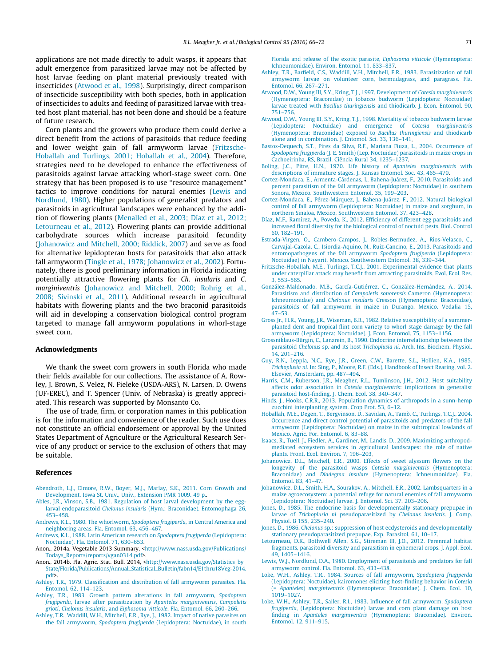<span id="page-5-0"></span>applications are not made directly to adult wasps, it appears that adult emergence from parasitized larvae may not be affected by host larvae feeding on plant material previously treated with insecticides (Atwood et al., 1998). Surprisingly, direct comparison of insecticide susceptibility with both species, both in application of insecticides to adults and feeding of parasitized larvae with treated host plant material, has not been done and should be a feature of future research.

Corn plants and the growers who produce them could derive a direct benefit from the actions of parasitoids that reduce feeding and lower weight gain of fall armyworm larvae (Fritzsche-Hoballah and Turlings, 2001; Hoballah et al., 2004). Therefore, strategies need to be developed to enhance the effectiveness of parasitoids against larvae attacking whorl-stage sweet corn. One strategy that has been proposed is to use ''resource management" tactics to improve conditions for natural enemies (Lewis and Nordlund, 1980). Higher populations of generalist predators and parasitoids in agricultural landscapes were enhanced by the addition of flowering plants ([Menalled et al., 2003; Díaz et al., 2012;](#page-6-0) [Letourneau et al., 2012\)](#page-6-0). Flowering plants can provide additional carbohydrate sources which increase parasitoid fecundity (Johanowicz and Mitchell, 2000; Riddick, 2007) and serve as food for alternative lepidopteran hosts for parasitoids that also attack fall armyworm [\(Tingle et al., 1978; Johanowicz et al., 2002\)](#page-6-0). Fortunately, there is good preliminary information in Florida indicating potentially attractive flowering plants for Ch. insularis and C. marginiventris (Johanowicz and Mitchell, 2000; Rohrig et al., 2008; Sivinski et al., 2011). Additional research in agricultural habitats with flowering plants and the two braconid parasitoids will aid in developing a conservation biological control program targeted to manage fall armyworm populations in whorl-stage sweet corn.

# Acknowledgments

We thank the sweet corn growers in south Florida who made their fields available for our collections. The assistance of A. Rowley, J. Brown, S. Velez, N. Fieleke (USDA-ARS), N. Larsen, D. Owens (UF-EREC), and T. Spencer (Univ. of Nebraska) is greatly appreciated. This research was supported by Monsanto Co.

The use of trade, firm, or corporation names in this publication is for the information and convenience of the reader. Such use does not constitute an official endorsement or approval by the United States Department of Agriculture or the Agricultural Research Service of any product or service to the exclusion of others that may be suitable.

### References

- [Abendroth, L.J., Elmore, R.W., Boyer, M.J., Marlay, S.K., 2011. Corn Growth and](http://refhub.elsevier.com/S1049-9644(16)30006-8/h0005) [Development. Iowa St. Univ., Univ., Extension PMR 1009. 49 p..](http://refhub.elsevier.com/S1049-9644(16)30006-8/h0005)
- [Ables, J.R., Vinson, S.B., 1981. Regulation of host larval development by the egg](http://refhub.elsevier.com/S1049-9644(16)30006-8/h0010)larval endoparasitoid Chelonus insularis [\(Hym.: Braconidae\). Entomophaga 26,](http://refhub.elsevier.com/S1049-9644(16)30006-8/h0010) [453–458](http://refhub.elsevier.com/S1049-9644(16)30006-8/h0010).
- [Andrews, K.L., 1980. The whorlworm,](http://refhub.elsevier.com/S1049-9644(16)30006-8/h0015) Spodoptera frugiperda, in Central America and [neighboring areas. Fla. Entomol. 63, 456–467](http://refhub.elsevier.com/S1049-9644(16)30006-8/h0015).
- [Andrews, K.L., 1988. Latin American research on](http://refhub.elsevier.com/S1049-9644(16)30006-8/h0020) Spodoptera frugiperda (Lepidoptera: [Noctuidae\). Fla. Entomol. 71, 630–653.](http://refhub.elsevier.com/S1049-9644(16)30006-8/h0020)
- Anon., 2014a. Vegetable 2013 Summary, <[http://www.nass.usda.gov/Publications/](http://www.nass.usda.gov/Publications/Todays_Reports/reports/vgan0314.pdf) [Todays\\_Reports/reports/vgan0314.pdf>](http://www.nass.usda.gov/Publications/Todays_Reports/reports/vgan0314.pdf).
- Anon., 2014b. Fla. Agric. Stat. Bull. 2014, [<http://www.nass.usda.gov/Statistics\\_by\\_](http://www.nass.usda.gov/Statistics_by_State/Florida/Publications/Annual_Statistical_Bulletin/fabn14/E1thru18Veg-2014.pdf) [State/Florida/Publications/Annual\\_Statistical\\_Bulletin/fabn14/E1thru18Veg-2014.](http://www.nass.usda.gov/Statistics_by_State/Florida/Publications/Annual_Statistical_Bulletin/fabn14/E1thru18Veg-2014.pdf) [pdf](http://www.nass.usda.gov/Statistics_by_State/Florida/Publications/Annual_Statistical_Bulletin/fabn14/E1thru18Veg-2014.pdf)>.
- [Ashley, T.R., 1979. Classification and distribution of fall armyworm parasites. Fla.](http://refhub.elsevier.com/S1049-9644(16)30006-8/h0035) [Entomol. 62, 114–123.](http://refhub.elsevier.com/S1049-9644(16)30006-8/h0035)
- [Ashley, T.R., 1983. Growth pattern alterations in fall armyworm,](http://refhub.elsevier.com/S1049-9644(16)30006-8/h0040) Spodoptera frugiperda[, larvae after parasitization by](http://refhub.elsevier.com/S1049-9644(16)30006-8/h0040) Apanteles marginiventris, Campoletis grioti, Chelonus insularis, and Eiphosoma vitticole[. Fla. Entomol. 66, 260–266.](http://refhub.elsevier.com/S1049-9644(16)30006-8/h0040)
- [Ashley, T.R., Waddill, W.H., Mitchell, E.R., Rye, J., 1982. Impact of native parasites on](http://refhub.elsevier.com/S1049-9644(16)30006-8/h0045) the fall armyworm, Spodoptera frugiperda [\(Lepidoptera: Noctuidae\), in south](http://refhub.elsevier.com/S1049-9644(16)30006-8/h0045)

[Florida and release of the exotic parasite,](http://refhub.elsevier.com/S1049-9644(16)30006-8/h0045) Eiphosoma vitticole (Hymenoptera: [Ichneumonidae\). Environ. Entomol. 11, 833–837.](http://refhub.elsevier.com/S1049-9644(16)30006-8/h0045)

- [Ashley, T.R., Barfield, C.S., Waddill, V.H., Mitchell, E.R., 1983. Parasitization of fall](http://refhub.elsevier.com/S1049-9644(16)30006-8/h0050) [armyworm larvae on volunteer corn, bermudagrass, and paragrass. Fla.](http://refhub.elsevier.com/S1049-9644(16)30006-8/h0050) [Entomol. 66, 267–271.](http://refhub.elsevier.com/S1049-9644(16)30006-8/h0050)
- [Atwood, D.W., Young III, S.Y., Kring, T.J., 1997. Development of](http://refhub.elsevier.com/S1049-9644(16)30006-8/h0055) Cotesia marginiventris [\(Hymenoptera: Braconidae\) in tobacco budworm \(Lepidoptera: Noctuidae\)](http://refhub.elsevier.com/S1049-9644(16)30006-8/h0055) larvae treated with Bacillus thuringiensis [and thiodicarb. J. Econ. Entomol. 90,](http://refhub.elsevier.com/S1049-9644(16)30006-8/h0055) [751–756](http://refhub.elsevier.com/S1049-9644(16)30006-8/h0055).
- [Atwood, D.W., Young III, S.Y., Kring, T.J., 1998. Mortality of tobacco budworm larvae](http://refhub.elsevier.com/S1049-9644(16)30006-8/h0060) [\(Lepidoptera: Noctuidae\) and emergence of](http://refhub.elsevier.com/S1049-9644(16)30006-8/h0060) Cotesia marginiventris [\(Hymenoptera: Braconidae\) exposed to](http://refhub.elsevier.com/S1049-9644(16)30006-8/h0060) Bacillus thuringiensis and thiodicarb [alone and in combination. J. Entomol. Sci. 33, 136–141](http://refhub.elsevier.com/S1049-9644(16)30006-8/h0060).
- [Bastos-Dequech, S.T., Pires da Silva, R.F., Mariana Fiuza, L., 2004. Occurrence of](http://refhub.elsevier.com/S1049-9644(16)30006-8/h0065) Spodoptera frugiperda [\(J. E. Smith\) \(Lep. Noctuidae\) parasitoids in maize crops in](http://refhub.elsevier.com/S1049-9644(16)30006-8/h0065) [Cachoeirinha, RS, Brazil. Ciência Rural 34, 1235–1237](http://refhub.elsevier.com/S1049-9644(16)30006-8/h0065).
- [Boling, J.C., Pitre, H.N., 1970. Life history of](http://refhub.elsevier.com/S1049-9644(16)30006-8/h0070) Apanteles marginiventris with [descriptions of immature stages. J. Kansas Entomol. Soc. 43, 465–470.](http://refhub.elsevier.com/S1049-9644(16)30006-8/h0070)
- [Cortez-Mondaca, E., Armenta-Cárdenas, I., Bahena-Juárez, F., 2010. Parasitoids and](http://refhub.elsevier.com/S1049-9644(16)30006-8/h0075) [percent parasitism of the fall armyworm \(Lepidoptera: Noctuidae\) in southern](http://refhub.elsevier.com/S1049-9644(16)30006-8/h0075) [Sonora, Mexico. Southwestern Entomol. 35, 199–203.](http://refhub.elsevier.com/S1049-9644(16)30006-8/h0075)
- [Cortez-Mondaca, E., Pérez-Márquez, J., Bahena-Juárez, F., 2012. Natural biological](http://refhub.elsevier.com/S1049-9644(16)30006-8/h0080) [control of fall armyworm \(Lepidoptera: Noctuidae\) in maize and sorghum, in](http://refhub.elsevier.com/S1049-9644(16)30006-8/h0080) [northern Sinaloa, Mexico. Southwestern Entomol. 37, 423–428.](http://refhub.elsevier.com/S1049-9644(16)30006-8/h0080)
- [Díaz, M.F., Ramírez, A., Poveda, K., 2012. Efficiency of different egg parasitoids and](http://refhub.elsevier.com/S1049-9644(16)30006-8/h0085) [increased floral diversity for the biological control of noctuid pests. Biol. Control](http://refhub.elsevier.com/S1049-9644(16)30006-8/h0085) [60, 182–191](http://refhub.elsevier.com/S1049-9644(16)30006-8/h0085).
- [Estrada-Virgen, O., Cambero-Campos, J., Robles-Bermudez, A., Rios-Velasco, C.,](http://refhub.elsevier.com/S1049-9644(16)30006-8/h0090) [Carvajal-Cazola, C., Isiordia-Aquino, N., Ruiz-Cancino, E., 2013. Parasitoids and](http://refhub.elsevier.com/S1049-9644(16)30006-8/h0090) [entomopathogens of the fall armyworm](http://refhub.elsevier.com/S1049-9644(16)30006-8/h0090) Spodoptera frugiperda (Lepidoptera: [Noctuidae\) in Nayarit, Mexico. Southwestern Entomol. 38, 339–344.](http://refhub.elsevier.com/S1049-9644(16)30006-8/h0090)
- [Fritzsche-Hoballah, M.E., Turlings, T.C.J., 2001. Experimental evidence that plants](http://refhub.elsevier.com/S1049-9644(16)30006-8/h0095) [under caterpillar attack may benefit from attracting parasitoids. Evol. Ecol. Res.](http://refhub.elsevier.com/S1049-9644(16)30006-8/h0095) [3, 553–565.](http://refhub.elsevier.com/S1049-9644(16)30006-8/h0095)
- [González-Maldonado, M.B., García-Gutiérrez, C., González-Hernández, A., 2014.](http://refhub.elsevier.com/S1049-9644(16)30006-8/h0100) [Parasitism and distribution of](http://refhub.elsevier.com/S1049-9644(16)30006-8/h0100) Campoletis sonorensis Cameron (Hymenoptera: Ichneumonidae) and Chelonus insularis [Cresson \(Hymenoptera: Braconidae\),](http://refhub.elsevier.com/S1049-9644(16)30006-8/h0100) [parasitoids of fall armyworm in maize in Durango, Mexico. Vedalia 15,](http://refhub.elsevier.com/S1049-9644(16)30006-8/h0100) [47–53.](http://refhub.elsevier.com/S1049-9644(16)30006-8/h0100)
- [Gross Jr., H.R., Young, J.R., Wiseman, B.R., 1982. Relative susceptibility of a summer](http://refhub.elsevier.com/S1049-9644(16)30006-8/h0105)[planted dent and tropical flint corn variety to whorl stage damage by the fall](http://refhub.elsevier.com/S1049-9644(16)30006-8/h0105) [armyworm \(Lepidoptera: Noctuidae\). J. Econ. Entomol. 75, 1153–1156.](http://refhub.elsevier.com/S1049-9644(16)30006-8/h0105)
- [Grossniklaus-Bürgin, C., Lanzrein, B., 1990. Endocrine interrelationship between the](http://refhub.elsevier.com/S1049-9644(16)30006-8/h0110) parasitoid Chelonus sp. and its host Trichoplusia ni[. Arch. Ins. Biochem. Physiol.](http://refhub.elsevier.com/S1049-9644(16)30006-8/h0110) [14, 201–216](http://refhub.elsevier.com/S1049-9644(16)30006-8/h0110).
- [Guy, R.N., Leppla, N.C., Rye, J.R., Green, C.W., Barette, S.L., Hollien, K.A., 1985.](http://refhub.elsevier.com/S1049-9644(16)30006-8/h0115) Trichoplusia ni[. In: Sing, P., Moore, R.F. \(Eds.\), Handbook of Insect Rearing, vol. 2.](http://refhub.elsevier.com/S1049-9644(16)30006-8/h0115) [Elsevier, Amsterdam, pp. 487–494.](http://refhub.elsevier.com/S1049-9644(16)30006-8/h0115)
- [Harris, C.M., Ruberson, J.R., Meagher, R.L., Tumlinson, J.H., 2012. Host suitability](http://refhub.elsevier.com/S1049-9644(16)30006-8/h0120) affects odor association in Cotesia marginiventris[: implications in generalist](http://refhub.elsevier.com/S1049-9644(16)30006-8/h0120) [parasitoid host-finding. J. Chem. Ecol. 38, 340–347.](http://refhub.elsevier.com/S1049-9644(16)30006-8/h0120)
- [Hinds, J., Hooks, C.R.R., 2013. Population dynamics of arthropods in a sunn-hemp](http://refhub.elsevier.com/S1049-9644(16)30006-8/h0125) [zucchini interplanting system. Crop Prot. 53, 6–12.](http://refhub.elsevier.com/S1049-9644(16)30006-8/h0125)
- [Hoballah, M.E., Degen, T., Bergvinson, D., Savidan, A., Tamò, C., Turlings, T.C.J., 2004.](http://refhub.elsevier.com/S1049-9644(16)30006-8/h0130) [Occurrence and direct control potential of parasitoids and predators of the fall](http://refhub.elsevier.com/S1049-9644(16)30006-8/h0130) [armyworm \(Lepidoptera: Noctuidae\) on maize in the subtropical lowlands of](http://refhub.elsevier.com/S1049-9644(16)30006-8/h0130) [Mexico. Agric. For. Entomol. 6, 83–88](http://refhub.elsevier.com/S1049-9644(16)30006-8/h0130).
- [Isaacs, R., Tuell, J., Fiedler, A., Gardiner, M., Landis, D., 2009. Maximizing arthropod](http://refhub.elsevier.com/S1049-9644(16)30006-8/h0135)[mediated ecosystem services in agricultural landscapes: the role of native](http://refhub.elsevier.com/S1049-9644(16)30006-8/h0135) [plants. Front. Ecol. Environ. 7, 196–203.](http://refhub.elsevier.com/S1049-9644(16)30006-8/h0135)
- [Johanowicz, D.L., Mitchell, E.R., 2000. Effects of sweet alyssum flowers on the](http://refhub.elsevier.com/S1049-9644(16)30006-8/h0140) [longevity of the parasitoid wasps](http://refhub.elsevier.com/S1049-9644(16)30006-8/h0140) Cotesia marginiventris (Hymenoptera: Braconidae) and Diadegma insulare [\(Hymenoptera: Ichneumonidae\). Fla.](http://refhub.elsevier.com/S1049-9644(16)30006-8/h0140) [Entomol. 83, 41–47](http://refhub.elsevier.com/S1049-9644(16)30006-8/h0140).
- [Johanowicz, D.L., Smith, H.A., Sourakov, A., Mitchell, E.R., 2002. Lambsquarters in a](http://refhub.elsevier.com/S1049-9644(16)30006-8/h0145) [maize agroecosystem: a potential refuge for natural enemies of fall armyworm](http://refhub.elsevier.com/S1049-9644(16)30006-8/h0145) [\(Lepidoptera: Noctuidae\) larvae. J. Entomol. Sci. 37, 203–206.](http://refhub.elsevier.com/S1049-9644(16)30006-8/h0145)
- [Jones, D., 1985. The endocrine basis for developmentally stationary prepupae in](http://refhub.elsevier.com/S1049-9644(16)30006-8/h0150) larvae of Trichoplusia ni [pseudoparasitized by](http://refhub.elsevier.com/S1049-9644(16)30006-8/h0150) Chelonus insularis. J. Comp. [Physiol. B 155, 235–240.](http://refhub.elsevier.com/S1049-9644(16)30006-8/h0150)
- Jones, D., 1986. Chelonus [sp.: suppression of host ecdysteroids and developmentally](http://refhub.elsevier.com/S1049-9644(16)30006-8/h0155) [stationary pseudoparasitized prepupae. Exp. Parasitol. 61, 10–17](http://refhub.elsevier.com/S1049-9644(16)30006-8/h0155).
- [Letourneau, D.K., Bothwell Allen, S.G., Stireman III, J.O., 2012. Perennial habitat](http://refhub.elsevier.com/S1049-9644(16)30006-8/h0160) [fragments, parasitoid diversity and parasitism in ephemeral crops. J. Appl. Ecol.](http://refhub.elsevier.com/S1049-9644(16)30006-8/h0160) [49, 1405–1416](http://refhub.elsevier.com/S1049-9644(16)30006-8/h0160).
- [Lewis, W.J., Nordlund, D.A., 1980. Employment of parasitoids and predators for fall](http://refhub.elsevier.com/S1049-9644(16)30006-8/h0165) [armyworm control. Fla. Entomol. 63, 433–438](http://refhub.elsevier.com/S1049-9644(16)30006-8/h0165).
- [Loke, W.H., Ashley, T.R., 1984. Sources of fall armyworm,](http://refhub.elsevier.com/S1049-9644(16)30006-8/h0170) Spodoptera frugiperda [\(Lepidoptera: Noctuidae\), kairomones eliciting host-finding behavior in](http://refhub.elsevier.com/S1049-9644(16)30006-8/h0170) Cotesia (= Apanteles) marginiventris [\(Hymenoptera: Braconidae\). J. Chem. Ecol. 10,](http://refhub.elsevier.com/S1049-9644(16)30006-8/h0170) [1019–1027.](http://refhub.elsevier.com/S1049-9644(16)30006-8/h0170)
- [Loke, W.H., Ashley, T.R., Sailer, R.I., 1983. Influence of fall armyworm,](http://refhub.elsevier.com/S1049-9644(16)30006-8/h0175) Spodoptera frugiperda[, \(Lepidoptera: Noctuidae\) larvae and corn plant damage on host](http://refhub.elsevier.com/S1049-9644(16)30006-8/h0175) finding in Apanteles marginiventris [\(Hymenoptera: Braconidae\). Environ.](http://refhub.elsevier.com/S1049-9644(16)30006-8/h0175) [Entomol. 12, 911–915.](http://refhub.elsevier.com/S1049-9644(16)30006-8/h0175)